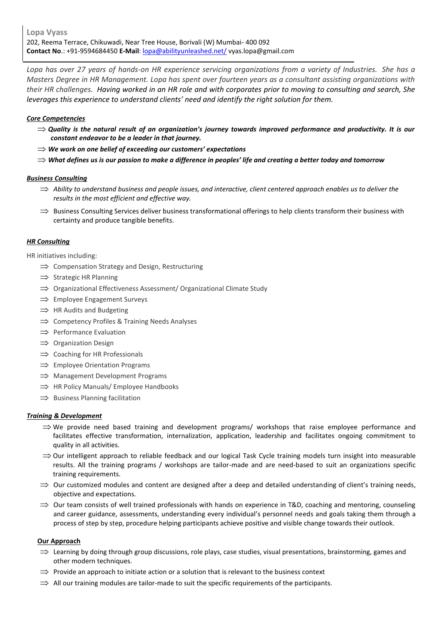*Lopa has over 27 years of hands-on HR experience servicing organizations from a variety of Industries. She has a Masters Degree in HR Management. Lopa has spent over fourteen years as a consultant assisting organizations with their HR challenges. Having worked in an HR role and with corporates prior to moving to consulting and search, She leverages this experience to understand clients' need and identify the right solution for them.* 

# *Core Competencies*

- $\Rightarrow$  Quality is the natural result of an organization's journey towards improved performance and productivity. It is our *constant endeavor to be a leader in that journey.*
- *We work on one belief of exceeding our customers' expectations*
- *What defines us is our passion to make a difference in peoples' life and creating a better today and tomorrow*

## *Business Consulting*

- $\Rightarrow$  Ability to understand business and people issues, and interactive, client centered approach enables us to deliver the *results in the most efficient and effective way.*
- $\Rightarrow$  Business Consulting Services deliver business transformational offerings to help clients transform their business with certainty and produce tangible benefits.

## *HR Consulting*

HR initiatives including:

- $\implies$  Compensation Strategy and Design, Restructuring
- $\implies$  Strategic HR Planning
- $\implies$  Organizational Effectiveness Assessment/ Organizational Climate Study
- $\implies$  Employee Engagement Surveys
- $\implies$  HR Audits and Budgeting
- $\implies$  Competency Profiles & Training Needs Analyses
- $\implies$  Performance Evaluation
- $\implies$  Organization Design
- $\implies$  Coaching for HR Professionals
- $\implies$  Employee Orientation Programs
- $\implies$  Management Development Programs
- $\implies$  HR Policy Manuals/ Employee Handbooks
- $\implies$  Business Planning facilitation

### *Training & Development*

- $\Rightarrow$  We provide need based training and development programs/ workshops that raise employee performance and facilitates effective transformation, internalization, application, leadership and facilitates ongoing commitment to quality in all activities.
- $\Rightarrow$  Our intelligent approach to reliable feedback and our logical Task Cycle training models turn insight into measurable results. All the training programs / workshops are tailor-made and are need-based to suit an organizations specific training requirements.
- $\Rightarrow$  Our customized modules and content are designed after a deep and detailed understanding of client's training needs, objective and expectations.
- $\Rightarrow$  Our team consists of well trained professionals with hands on experience in T&D, coaching and mentoring, counseling and career guidance, assessments, understanding every individual's personnel needs and goals taking them through a process of step by step, procedure helping participants achieve positive and visible change towards their outlook.

# **Our Approach**

- $\implies$  Learning by doing through group discussions, role plays, case studies, visual presentations, brainstorming, games and other modern techniques.
- $\Rightarrow$  Provide an approach to initiate action or a solution that is relevant to the business context
- $\Rightarrow$  All our training modules are tailor-made to suit the specific requirements of the participants.